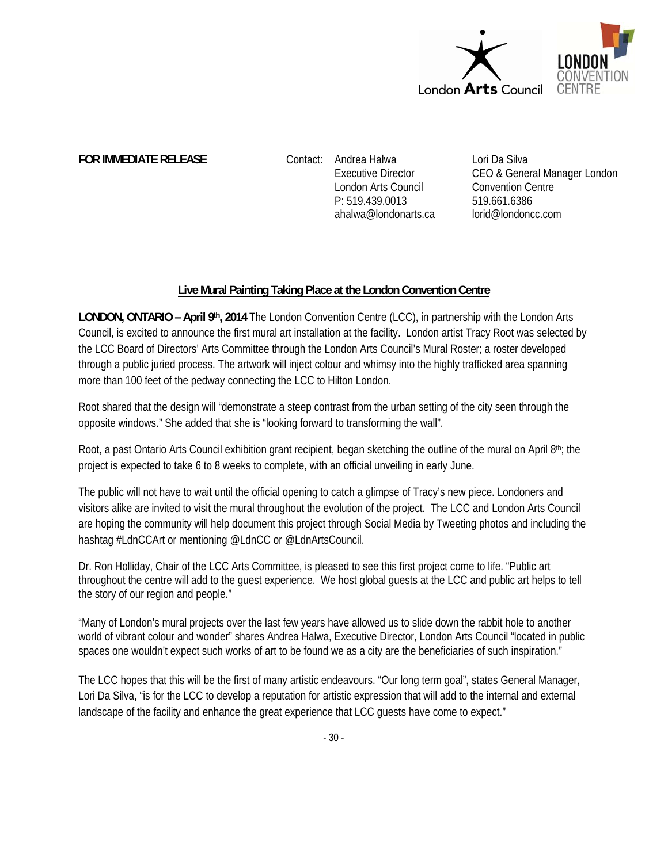

**FOR IMMEDIATE RELEASE Contact: Andrea Halwa** 

Executive Director London Arts Council P: 519.439.0013 ahalwa@londonarts.ca Lori Da Silva CEO & General Manager London Convention Centre 519.661.6386 lorid@londoncc.com

## **Live Mural Painting Taking Place at the London Convention Centre**

**LONDON, ONTARIO – April 9th, 2014** The London Convention Centre (LCC), in partnership with the London Arts Council, is excited to announce the first mural art installation at the facility. London artist Tracy Root was selected by the LCC Board of Directors' Arts Committee through the London Arts Council's Mural Roster; a roster developed through a public juried process. The artwork will inject colour and whimsy into the highly trafficked area spanning more than 100 feet of the pedway connecting the LCC to Hilton London.

Root shared that the design will "demonstrate a steep contrast from the urban setting of the city seen through the opposite windows." She added that she is "looking forward to transforming the wall".

Root, a past Ontario Arts Council exhibition grant recipient, began sketching the outline of the mural on April 8th; the project is expected to take 6 to 8 weeks to complete, with an official unveiling in early June.

The public will not have to wait until the official opening to catch a glimpse of Tracy's new piece. Londoners and visitors alike are invited to visit the mural throughout the evolution of the project. The LCC and London Arts Council are hoping the community will help document this project through Social Media by Tweeting photos and including the hashtag #LdnCCArt or mentioning @LdnCC or @LdnArtsCouncil.

Dr. Ron Holliday, Chair of the LCC Arts Committee, is pleased to see this first project come to life. "Public art throughout the centre will add to the guest experience. We host global guests at the LCC and public art helps to tell the story of our region and people."

"Many of London's mural projects over the last few years have allowed us to slide down the rabbit hole to another world of vibrant colour and wonder" shares Andrea Halwa, Executive Director, London Arts Council "located in public spaces one wouldn't expect such works of art to be found we as a city are the beneficiaries of such inspiration."

The LCC hopes that this will be the first of many artistic endeavours. "Our long term goal", states General Manager, Lori Da Silva, "is for the LCC to develop a reputation for artistic expression that will add to the internal and external landscape of the facility and enhance the great experience that LCC guests have come to expect."